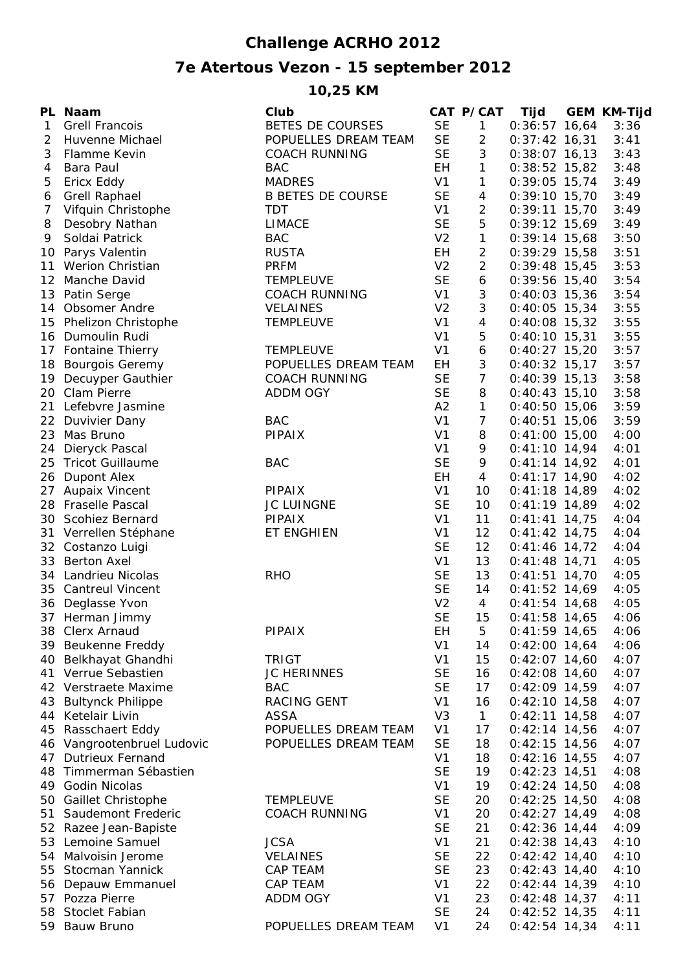## **Challenge ACRHO 2012**

## **7e Atertous Vezon - 15 september 2012**

## **10,25 KM**

|                 | PL Naam                    | Club                     |                | CAT P/CAT      | Tijd            | <b>GEM KM-Tijd</b> |
|-----------------|----------------------------|--------------------------|----------------|----------------|-----------------|--------------------|
| 1               | <b>Grell Francois</b>      | BETES DE COURSES         | <b>SE</b>      | $\mathbf{1}$   | $0:36:57$ 16,64 | 3:36               |
| 2               | Huvenne Michael            | POPUELLES DREAM TEAM     | <b>SE</b>      | $\overline{2}$ | $0:37:42$ 16,31 | 3:41               |
| 3               | Flamme Kevin               | <b>COACH RUNNING</b>     | <b>SE</b>      | 3              | $0:38:07$ 16,13 | 3:43               |
| 4               | Bara Paul                  | <b>BAC</b>               | EH             | 1              | $0:38:52$ 15,82 | 3:48               |
| 5               | Ericx Eddy                 | <b>MADRES</b>            | V <sub>1</sub> | 1              | $0:39:05$ 15,74 | 3:49               |
| 6               | <b>Grell Raphael</b>       | <b>B BETES DE COURSE</b> | <b>SE</b>      | 4              | $0:39:10$ 15,70 | 3:49               |
| 7               | Vifquin Christophe         | <b>TDT</b>               | V <sub>1</sub> | 2              | $0:39:11$ 15,70 | 3:49               |
| 8               | Desobry Nathan             | <b>LIMACE</b>            | <b>SE</b>      | 5              | $0:39:12$ 15,69 | 3:49               |
| 9               | Soldai Patrick             | <b>BAC</b>               | V <sub>2</sub> | 1              | $0:39:14$ 15,68 | 3:50               |
| 10 <sup>°</sup> | Parys Valentin             | <b>RUSTA</b>             | <b>EH</b>      | 2              | $0:39:29$ 15,58 | 3:51               |
| 11              | <b>Werion Christian</b>    | <b>PRFM</b>              | V <sub>2</sub> | $\overline{2}$ | $0:39:48$ 15,45 | 3:53               |
| 12 <sup>2</sup> | Manche David               | TEMPLEUVE                | <b>SE</b>      | 6              | $0:39:56$ 15,40 | 3:54               |
|                 | 13 Patin Serge             | <b>COACH RUNNING</b>     | V <sub>1</sub> | 3              | $0:40:03$ 15,36 | 3:54               |
|                 | 14 Obsomer Andre           | <b>VELAINES</b>          | V <sub>2</sub> | 3              | $0:40:05$ 15,34 | 3:55               |
|                 | 15 Phelizon Christophe     | <b>TEMPLEUVE</b>         | V <sub>1</sub> | 4              | $0:40:08$ 15,32 | 3:55               |
|                 | 16 Dumoulin Rudi           |                          | V <sub>1</sub> | 5              | $0:40:10$ 15,31 | 3:55               |
|                 | 17 Fontaine Thierry        | <b>TEMPLEUVE</b>         | V <sub>1</sub> | 6              | $0:40:27$ 15,20 | 3:57               |
| 18              | <b>Bourgois Geremy</b>     | POPUELLES DREAM TEAM     | EH             | 3              | $0:40:32$ 15,17 | 3:57               |
|                 | 19 Decuyper Gauthier       | <b>COACH RUNNING</b>     | <b>SE</b>      | $\overline{7}$ | $0:40:39$ 15,13 | 3:58               |
|                 | 20 Clam Pierre             | ADDM OGY                 | <b>SE</b>      | 8              | $0:40:43$ 15,10 | 3:58               |
| 21              | Lefebvre Jasmine           |                          | A2             | 1              | $0:40:50$ 15,06 | 3:59               |
|                 | 22 Duvivier Dany           | <b>BAC</b>               | V <sub>1</sub> | $\overline{7}$ | $0:40:51$ 15,06 | 3:59               |
| 23              | Mas Bruno                  | <b>PIPAIX</b>            | V <sub>1</sub> | 8              | $0:41:00$ 15,00 | 4:00               |
| 24              | Dieryck Pascal             |                          | V <sub>1</sub> | 9              | $0:41:10$ 14,94 | 4:01               |
| 25              | <b>Tricot Guillaume</b>    | <b>BAC</b>               | <b>SE</b>      | 9              | $0:41:14$ 14,92 | 4:01               |
| 26              | <b>Dupont Alex</b>         |                          | <b>EH</b>      | 4              | $0:41:17$ 14,90 | 4:02               |
| 27              | Aupaix Vincent             | PIPAIX                   | V <sub>1</sub> | 10             | $0:41:18$ 14,89 | 4:02               |
|                 | 28 Fraselle Pascal         | <b>JC LUINGNE</b>        | <b>SE</b>      | 10             | $0:41:19$ 14,89 | 4:02               |
|                 | 30 Scohiez Bernard         | <b>PIPAIX</b>            | V <sub>1</sub> | 11             | $0:41:41$ 14,75 | 4:04               |
|                 | 31 Verrellen Stéphane      | ET ENGHIEN               | V <sub>1</sub> | 12             | $0:41:42$ 14,75 | 4:04               |
| 32              | Costanzo Luigi             |                          | <b>SE</b>      | 12             | $0:41:46$ 14,72 | 4:04               |
| 33              | <b>Berton Axel</b>         |                          | V <sub>1</sub> | 13             | $0:41:48$ 14,71 | 4:05               |
| 34              | <b>Landrieu Nicolas</b>    | <b>RHO</b>               | <b>SE</b>      | 13             | $0:41:51$ 14,70 | 4:05               |
| 35              | <b>Cantreul Vincent</b>    |                          | <b>SE</b>      | 14             | $0:41:52$ 14,69 | 4:05               |
|                 | 36 Deglasse Yvon           |                          | V <sub>2</sub> | 4              | $0:41:54$ 14,68 | 4:05               |
|                 | 37 Herman Jimmy            |                          | <b>SE</b>      | 15             | $0:41:58$ 14,65 | 4:06               |
|                 | 38 Clerx Arnaud            | <b>PIPAIX</b>            | EН             | 5              | $0:41:59$ 14,65 | 4:06               |
|                 | 39 Beukenne Freddy         |                          | V <sub>1</sub> | 14             | $0:42:00$ 14,64 | 4:06               |
| 40              | Belkhayat Ghandhi          | <b>TRIGT</b>             | V <sub>1</sub> | 15             | $0:42:07$ 14,60 | 4:07               |
|                 | 41 Verrue Sebastien        | <b>JC HERINNES</b>       | <b>SE</b>      | 16             | $0:42:08$ 14,60 | 4:07               |
|                 | 42 Verstraete Maxime       | <b>BAC</b>               | <b>SE</b>      | 17             | $0:42:09$ 14,59 | 4:07               |
|                 | 43 Bultynck Philippe       | <b>RACING GENT</b>       | V <sub>1</sub> | 16             | $0:42:10$ 14,58 | 4:07               |
| 44              | Ketelair Livin             | ASSA                     | V <sub>3</sub> | $\mathbf{1}$   | $0:42:11$ 14,58 | 4:07               |
|                 | 45 Rasschaert Eddy         | POPUELLES DREAM TEAM     | V <sub>1</sub> | 17             | $0:42:14$ 14,56 | 4:07               |
|                 | 46 Vangrootenbruel Ludovic | POPUELLES DREAM TEAM     | <b>SE</b>      | 18             | $0:42:15$ 14,56 | 4:07               |
|                 | 47 Dutrieux Fernand        |                          | V <sub>1</sub> | 18             | $0:42:16$ 14,55 | 4:07               |
|                 | 48 Timmerman Sébastien     |                          | <b>SE</b>      | 19             | $0:42:23$ 14,51 | 4:08               |
|                 | 49 Godin Nicolas           |                          | V <sub>1</sub> | 19             | $0:42:24$ 14,50 | 4:08               |
|                 | 50 Gaillet Christophe      | <b>TEMPLEUVE</b>         | <b>SE</b>      | 20             | $0:42:25$ 14,50 | 4:08               |
|                 | 51 Saudemont Frederic      | <b>COACH RUNNING</b>     | V <sub>1</sub> | 20             | $0:42:27$ 14,49 | 4:08               |
|                 | 52 Razee Jean-Bapiste      |                          | <b>SE</b>      | 21             | $0:42:36$ 14,44 | 4:09               |
|                 | 53 Lemoine Samuel          | <b>JCSA</b>              | V <sub>1</sub> | 21             | $0:42:38$ 14,43 | 4:10               |
|                 | 54 Malvoisin Jerome        | <b>VELAINES</b>          | <b>SE</b>      | 22             | $0:42:42$ 14,40 | 4:10               |
| 55              | Stocman Yannick            | CAP TEAM                 | <b>SE</b>      | 23             | $0:42:43$ 14,40 | 4:10               |
|                 | 56 Depauw Emmanuel         | CAP TEAM                 | V <sub>1</sub> | 22             | $0:42:44$ 14,39 | 4:10               |
|                 | 57 Pozza Pierre            | ADDM OGY                 | V <sub>1</sub> | 23             | $0:42:48$ 14,37 | 4:11               |
|                 | 58 Stoclet Fabian          |                          | <b>SE</b>      | 24             | $0:42:52$ 14,35 | 4:11               |
|                 | 59 Bauw Bruno              | POPUELLES DREAM TEAM     | V <sub>1</sub> | 24             | $0:42:54$ 14,34 | 4:11               |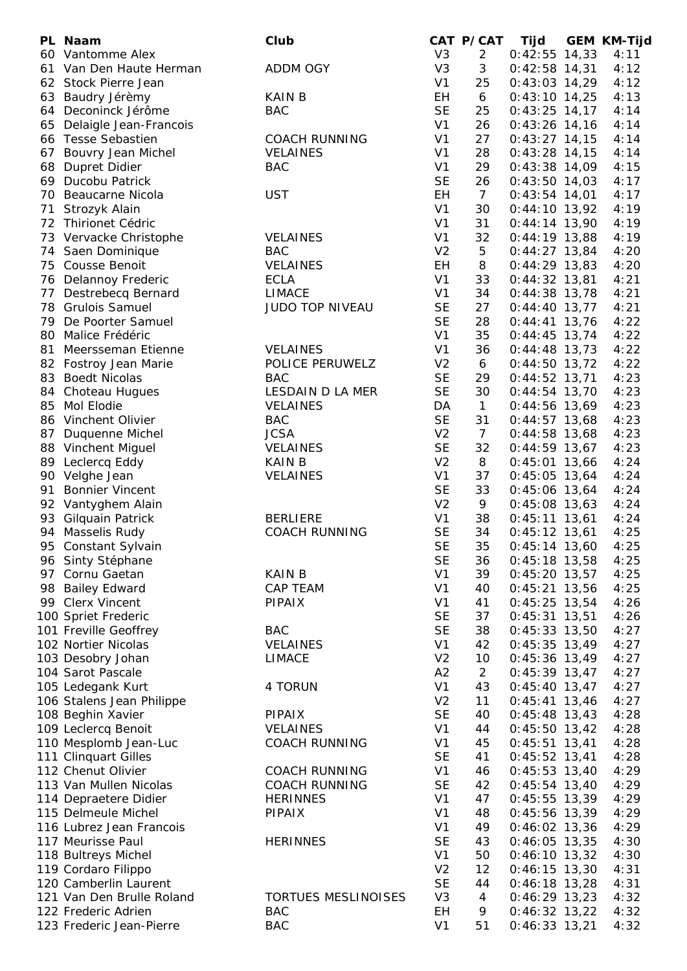|    | PL Naam                   | Club                           |                | CAT P/CAT      | Tijd            | <b>GEM KM-Tijd</b> |
|----|---------------------------|--------------------------------|----------------|----------------|-----------------|--------------------|
|    | 60 Vantomme Alex          |                                | V <sub>3</sub> | $\overline{2}$ | $0:42:55$ 14,33 | 4:11               |
| 61 | Van Den Haute Herman      | <b>ADDM OGY</b>                | V <sub>3</sub> | 3              | $0:42:58$ 14,31 | 4:12               |
|    | 62 Stock Pierre Jean      |                                | V <sub>1</sub> | 25             | $0:43:03$ 14,29 | 4:12               |
|    | 63 Baudry Jérèmy          | <b>KAIN B</b>                  | EH             | 6              | $0:43:10$ 14,25 | 4:13               |
|    | 64 Deconinck Jérôme       | <b>BAC</b>                     | <b>SE</b>      | 25             | $0:43:25$ 14,17 | 4:14               |
| 65 | Delaigle Jean-Francois    |                                | V <sub>1</sub> | 26             | $0:43:26$ 14,16 | 4:14               |
| 66 | <b>Tesse Sebastien</b>    | <b>COACH RUNNING</b>           | V <sub>1</sub> | 27             | $0:43:27$ 14,15 | 4:14               |
|    | 67 Bouvry Jean Michel     | <b>VELAINES</b>                | V <sub>1</sub> | 28             | $0:43:28$ 14,15 | 4:14               |
| 68 | Dupret Didier             | <b>BAC</b>                     | V <sub>1</sub> | 29             | $0:43:38$ 14,09 | 4:15               |
|    | 69 Ducobu Patrick         |                                | <b>SE</b>      | 26             | $0:43:50$ 14,03 | 4:17               |
| 70 | Beaucarne Nicola          | <b>UST</b>                     | <b>EH</b>      | $\overline{7}$ | $0:43:54$ 14,01 | 4:17               |
| 71 | Strozyk Alain             |                                | V <sub>1</sub> | 30             | $0:44:10$ 13,92 | 4:19               |
| 72 | <b>Thirionet Cédric</b>   |                                | V <sub>1</sub> | 31             | $0:44:14$ 13,90 | 4:19               |
|    | 73 Vervacke Christophe    | <b>VELAINES</b>                | V <sub>1</sub> | 32             | $0:44:19$ 13,88 | 4:19               |
|    |                           | <b>BAC</b>                     | V <sub>2</sub> | 5              |                 | 4:20               |
|    | 74 Saen Dominique         |                                |                |                | $0:44:27$ 13,84 |                    |
| 75 | Cousse Benoit             | <b>VELAINES</b><br><b>ECLA</b> | EH             | 8              | $0:44:29$ 13,83 | 4:20               |
| 76 | Delannoy Frederic         |                                | V <sub>1</sub> | 33             | $0:44:32$ 13,81 | 4:21               |
| 77 | Destrebecq Bernard        | LIMACE                         | V <sub>1</sub> | 34             | $0:44:38$ 13,78 | 4:21               |
|    | 78 Grulois Samuel         | JUDO TOP NIVEAU                | <b>SE</b>      | 27             | $0:44:40$ 13,77 | 4:21               |
| 79 | De Poorter Samuel         |                                | <b>SE</b>      | 28             | $0:44:41$ 13,76 | 4:22               |
| 80 | Malice Frédéric           |                                | V <sub>1</sub> | 35             | $0:44:45$ 13,74 | 4:22               |
| 81 | Meersseman Etienne        | <b>VELAINES</b>                | V <sub>1</sub> | 36             | $0:44:48$ 13,73 | 4:22               |
|    | 82 Fostroy Jean Marie     | POLICE PERUWELZ                | V <sub>2</sub> | 6              | $0:44:50$ 13,72 | 4:22               |
|    | 83 Boedt Nicolas          | <b>BAC</b>                     | <b>SE</b>      | 29             | $0:44:52$ 13,71 | 4:23               |
| 84 | <b>Choteau Hugues</b>     | LESDAIN D LA MER               | <b>SE</b>      | 30             | $0:44:54$ 13,70 | 4:23               |
| 85 | Mol Elodie                | <b>VELAINES</b>                | DA             | $\mathbf{1}$   | $0:44:56$ 13,69 | 4:23               |
|    | 86 Vinchent Olivier       | <b>BAC</b>                     | <b>SE</b>      | 31             | $0:44:57$ 13,68 | 4:23               |
|    | 87 Duquenne Michel        | <b>JCSA</b>                    | V <sub>2</sub> | $\overline{7}$ | $0:44:58$ 13,68 | 4:23               |
|    | 88 Vinchent Miguel        | <b>VELAINES</b>                | <b>SE</b>      | 32             | $0:44:59$ 13,67 | 4:23               |
|    | 89 Leclercq Eddy          | <b>KAIN B</b>                  | V <sub>2</sub> | 8              | $0:45:01$ 13,66 | 4:24               |
|    | 90 Velghe Jean            | <b>VELAINES</b>                | V <sub>1</sub> | 37             | $0:45:05$ 13,64 | 4:24               |
| 91 | <b>Bonnier Vincent</b>    |                                | <b>SE</b>      | 33             | $0:45:06$ 13,64 | 4:24               |
|    | 92 Vantyghem Alain        |                                | V <sub>2</sub> | 9              | $0:45:08$ 13,63 | 4:24               |
|    | 93 Gilquain Patrick       | <b>BERLIERE</b>                | V <sub>1</sub> | 38             | $0:45:11$ 13,61 | 4:24               |
|    | 94 Masselis Rudy          | <b>COACH RUNNING</b>           | <b>SE</b>      | 34             | $0:45:12$ 13,61 | 4:25               |
| 95 | Constant Sylvain          |                                | <b>SE</b>      | 35             | $0:45:14$ 13,60 | 4:25               |
|    | 96 Sinty Stéphane         |                                | <b>SE</b>      | 36             | $0:45:18$ 13,58 | 4:25               |
|    | 97 Cornu Gaetan           | <b>KAIN B</b>                  | V <sub>1</sub> | 39             | $0:45:20$ 13,57 | 4:25               |
| 98 | <b>Bailey Edward</b>      | CAP TEAM                       | V <sub>1</sub> | 40             | $0:45:21$ 13,56 | 4:25               |
|    | 99 Clerx Vincent          | PIPAIX                         | V <sub>1</sub> | 41             | $0:45:25$ 13,54 | 4:26               |
|    | 100 Spriet Frederic       |                                | <b>SE</b>      | 37             | $0:45:31$ 13,51 | 4:26               |
|    |                           | <b>BAC</b>                     | <b>SE</b>      | 38             |                 | 4:27               |
|    | 101 Freville Geoffrey     |                                | V <sub>1</sub> |                | $0:45:33$ 13,50 |                    |
|    | 102 Nortier Nicolas       | <b>VELAINES</b>                |                | 42             | $0:45:35$ 13,49 | 4:27               |
|    | 103 Desobry Johan         | <b>LIMACE</b>                  | V <sub>2</sub> | 10             | $0:45:36$ 13,49 | 4:27               |
|    | 104 Sarot Pascale         |                                | A2             | $\overline{2}$ | $0:45:39$ 13,47 | 4:27               |
|    | 105 Ledegank Kurt         | 4 TORUN                        | V <sub>1</sub> | 43             | $0:45:40$ 13,47 | 4:27               |
|    | 106 Stalens Jean Philippe |                                | V <sub>2</sub> | 11             | $0:45:41$ 13,46 | 4:27               |
|    | 108 Beghin Xavier         | <b>PIPAIX</b>                  | <b>SE</b>      | 40             | $0:45:48$ 13,43 | 4:28               |
|    | 109 Leclercq Benoit       | <b>VELAINES</b>                | V <sub>1</sub> | 44             | $0:45:50$ 13,42 | 4:28               |
|    | 110 Mesplomb Jean-Luc     | <b>COACH RUNNING</b>           | V <sub>1</sub> | 45             | $0:45:51$ 13,41 | 4:28               |
|    | 111 Clinquart Gilles      |                                | <b>SE</b>      | 41             | $0:45:52$ 13,41 | 4:28               |
|    | 112 Chenut Olivier        | <b>COACH RUNNING</b>           | V <sub>1</sub> | 46             | $0:45:53$ 13,40 | 4:29               |
|    | 113 Van Mullen Nicolas    | <b>COACH RUNNING</b>           | <b>SE</b>      | 42             | $0:45:54$ 13,40 | 4:29               |
|    | 114 Depraetere Didier     | <b>HERINNES</b>                | V <sub>1</sub> | 47             | $0:45:55$ 13,39 | 4:29               |
|    | 115 Delmeule Michel       | <b>PIPAIX</b>                  | V <sub>1</sub> | 48             | $0:45:56$ 13,39 | 4:29               |
|    | 116 Lubrez Jean Francois  |                                | V <sub>1</sub> | 49             | $0:46:02$ 13,36 | 4:29               |
|    | 117 Meurisse Paul         | <b>HERINNES</b>                | <b>SE</b>      | 43             | $0:46:05$ 13,35 | 4:30               |
|    | 118 Bultreys Michel       |                                | V <sub>1</sub> | 50             | $0:46:10$ 13,32 | 4:30               |
|    | 119 Cordaro Filippo       |                                | V <sub>2</sub> | 12             | $0:46:15$ 13,30 | 4:31               |
|    | 120 Camberlin Laurent     |                                | <b>SE</b>      | 44             | $0:46:18$ 13,28 | 4:31               |
|    | 121 Van Den Brulle Roland | <b>TORTUES MESLINOISES</b>     | V <sub>3</sub> | 4              | $0:46:29$ 13,23 | 4:32               |
|    | 122 Frederic Adrien       | <b>BAC</b>                     | EH             | 9              | $0:46:32$ 13,22 | 4:32               |
|    | 123 Frederic Jean-Pierre  | <b>BAC</b>                     | V <sub>1</sub> | 51             | $0:46:33$ 13,21 | 4:32               |
|    |                           |                                |                |                |                 |                    |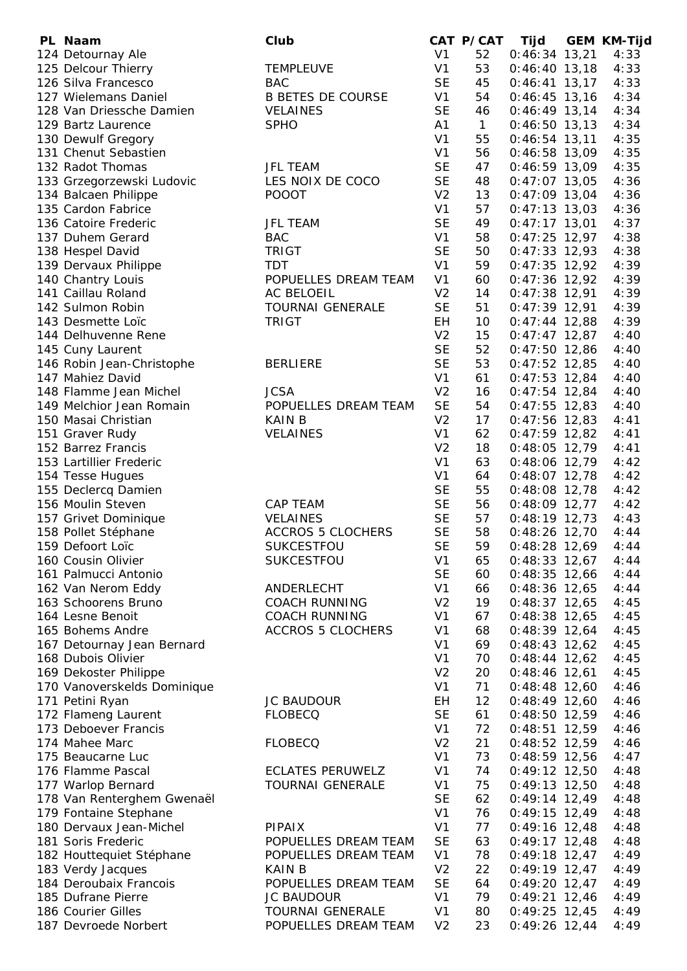| PL Naam                                  | Club                     |                | CAT P/CAT    | Tijd            | <b>GEM KM-Tijd</b> |
|------------------------------------------|--------------------------|----------------|--------------|-----------------|--------------------|
| 124 Detournay Ale                        |                          | V <sub>1</sub> | 52           | $0:46:34$ 13,21 | 4:33               |
| 125 Delcour Thierry                      | <b>TEMPLEUVE</b>         | V <sub>1</sub> | 53           | $0:46:40$ 13,18 | 4:33               |
| 126 Silva Francesco                      | <b>BAC</b>               | <b>SE</b>      | 45           | $0:46:41$ 13,17 | 4:33               |
| 127 Wielemans Daniel                     | <b>B BETES DE COURSE</b> | V <sub>1</sub> | 54           | $0:46:45$ 13,16 | 4:34               |
| 128 Van Driessche Damien                 | <b>VELAINES</b>          | <b>SE</b>      | 46           | $0:46:49$ 13,14 | 4:34               |
| 129 Bartz Laurence                       | <b>SPHO</b>              | A1             | $\mathbf{1}$ | $0:46:50$ 13,13 | 4:34               |
| 130 Dewulf Gregory                       |                          | V <sub>1</sub> | 55           | $0:46:54$ 13,11 | 4:35               |
| 131 Chenut Sebastien                     |                          | V <sub>1</sub> | 56           | $0:46:58$ 13,09 | 4:35               |
| 132 Radot Thomas                         | <b>JFL TEAM</b>          | <b>SE</b>      | 47           | $0:46:59$ 13,09 | 4:35               |
| 133 Grzegorzewski Ludovic                | LES NOIX DE COCO         | <b>SE</b>      | 48           | $0:47:07$ 13,05 | 4:36               |
| 134 Balcaen Philippe                     | <b>POOOT</b>             | V <sub>2</sub> | 13           | $0:47:09$ 13,04 | 4:36               |
| 135 Cardon Fabrice                       |                          | V <sub>1</sub> | 57           | $0:47:13$ 13,03 | 4:36               |
| 136 Catoire Frederic                     | <b>JFL TEAM</b>          | <b>SE</b>      | 49           | $0:47:17$ 13,01 | 4:37               |
| 137 Duhem Gerard                         | <b>BAC</b>               | V <sub>1</sub> | 58           | $0:47:25$ 12,97 | 4:38               |
| 138 Hespel David                         | <b>TRIGT</b>             | <b>SE</b>      | 50           | $0:47:33$ 12,93 | 4:38               |
| 139 Dervaux Philippe                     | <b>TDT</b>               | V <sub>1</sub> | 59           | $0:47:35$ 12,92 | 4:39               |
| 140 Chantry Louis                        | POPUELLES DREAM TEAM     | V <sub>1</sub> | 60           | $0:47:36$ 12,92 | 4:39               |
| 141 Caillau Roland                       | AC BELOEIL               | V <sub>2</sub> | 14           | $0:47:38$ 12,91 | 4:39               |
| 142 Sulmon Robin                         | <b>TOURNAI GENERALE</b>  | <b>SE</b>      | 51           | $0:47:39$ 12,91 | 4:39               |
|                                          | <b>TRIGT</b>             | <b>EH</b>      | 10           |                 | 4:39               |
| 143 Desmette Loïc<br>144 Delhuvenne Rene |                          | V <sub>2</sub> | 15           | $0:47:44$ 12,88 |                    |
|                                          |                          |                |              | $0:47:47$ 12,87 | 4:40               |
| 145 Cuny Laurent                         |                          | <b>SE</b>      | 52           | $0:47:50$ 12,86 | 4:40               |
| 146 Robin Jean-Christophe                | <b>BERLIERE</b>          | <b>SE</b>      | 53           | $0:47:52$ 12,85 | 4:40               |
| 147 Mahiez David                         |                          | V <sub>1</sub> | 61           | $0:47:53$ 12,84 | 4:40               |
| 148 Flamme Jean Michel                   | <b>JCSA</b>              | V <sub>2</sub> | 16           | $0:47:54$ 12,84 | 4:40               |
| 149 Melchior Jean Romain                 | POPUELLES DREAM TEAM     | <b>SE</b>      | 54           | $0:47:55$ 12,83 | 4:40               |
| 150 Masai Christian                      | <b>KAIN B</b>            | V <sub>2</sub> | 17           | $0:47:56$ 12,83 | 4:41               |
| 151 Graver Rudy                          | <b>VELAINES</b>          | V <sub>1</sub> | 62           | $0:47:59$ 12,82 | 4:41               |
| 152 Barrez Francis                       |                          | V <sub>2</sub> | 18           | $0:48:05$ 12,79 | 4:41               |
| 153 Lartillier Frederic                  |                          | V <sub>1</sub> | 63           | $0:48:06$ 12,79 | 4:42               |
| 154 Tesse Hugues                         |                          | V <sub>1</sub> | 64           | $0:48:07$ 12,78 | 4:42               |
| 155 Declercq Damien                      |                          | <b>SE</b>      | 55           | $0:48:08$ 12,78 | 4:42               |
| 156 Moulin Steven                        | <b>CAP TEAM</b>          | <b>SE</b>      | 56           | $0:48:09$ 12,77 | 4:42               |
| 157 Grivet Dominique                     | <b>VELAINES</b>          | <b>SE</b>      | 57           | $0:48:19$ 12,73 | 4:43               |
| 158 Pollet Stéphane                      | <b>ACCROS 5 CLOCHERS</b> | <b>SE</b>      | 58           | $0:48:26$ 12,70 | 4:44               |
| 159 Defoort Loïc                         | <b>SUKCESTFOU</b>        | <b>SE</b>      | 59           | $0:48:28$ 12,69 | 4:44               |
| 160 Cousin Olivier                       | <b>SUKCESTFOU</b>        | V <sub>1</sub> | 65           | $0:48:33$ 12,67 | 4:44               |
| 161 Palmucci Antonio                     |                          | <b>SE</b>      | 60           | $0:48:35$ 12,66 | 4:44               |
| 162 Van Nerom Eddy                       | ANDERLECHT               | V <sub>1</sub> | 66           | $0:48:36$ 12,65 | 4:44               |
| 163 Schoorens Bruno                      | <b>COACH RUNNING</b>     | V <sub>2</sub> | 19           | $0:48:37$ 12,65 | 4:45               |
| 164 Lesne Benoit                         | <b>COACH RUNNING</b>     | V <sub>1</sub> | 67           | $0:48:38$ 12,65 | 4:45               |
| 165 Bohems Andre                         | <b>ACCROS 5 CLOCHERS</b> | V <sub>1</sub> | 68           | $0:48:39$ 12,64 | 4:45               |
| 167 Detournay Jean Bernard               |                          | V <sub>1</sub> | 69           | $0:48:43$ 12,62 | 4:45               |
| 168 Dubois Olivier                       |                          | V <sub>1</sub> | 70           | $0:48:44$ 12,62 | 4:45               |
| 169 Dekoster Philippe                    |                          | V <sub>2</sub> | 20           | $0:48:46$ 12,61 | 4:45               |
| 170 Vanoverskelds Dominique              |                          | V <sub>1</sub> | 71           | $0:48:48$ 12,60 | 4:46               |
| 171 Petini Ryan                          | <b>JC BAUDOUR</b>        | EH.            | 12           | $0:48:49$ 12,60 | 4:46               |
| 172 Flameng Laurent                      | <b>FLOBECQ</b>           | <b>SE</b>      | 61           | $0:48:50$ 12,59 | 4:46               |
| 173 Deboever Francis                     |                          | V <sub>1</sub> | 72           | $0:48:51$ 12,59 | 4:46               |
| 174 Mahee Marc                           | <b>FLOBECQ</b>           | V <sub>2</sub> | 21           | $0:48:52$ 12,59 | 4:46               |
| 175 Beaucarne Luc                        |                          | V <sub>1</sub> | 73           | $0:48:59$ 12,56 | 4:47               |
| 176 Flamme Pascal                        | <b>ECLATES PERUWELZ</b>  | V <sub>1</sub> | 74           | $0:49:12$ 12,50 | 4:48               |
| 177 Warlop Bernard                       | <b>TOURNAI GENERALE</b>  | V <sub>1</sub> | 75           | $0:49:13$ 12,50 | 4:48               |
| 178 Van Renterghem Gwenaël               |                          | <b>SE</b>      | 62           | $0:49:14$ 12,49 | 4:48               |
| 179 Fontaine Stephane                    |                          | V <sub>1</sub> | 76           | $0:49:15$ 12,49 | 4:48               |
| 180 Dervaux Jean-Michel                  | <b>PIPAIX</b>            | V <sub>1</sub> | 77           | $0:49:16$ 12,48 | 4:48               |
| 181 Soris Frederic                       | POPUELLES DREAM TEAM     | <b>SE</b>      | 63           | $0:49:17$ 12,48 | 4:48               |
| 182 Houttequiet Stéphane                 | POPUELLES DREAM TEAM     | V <sub>1</sub> | 78           | $0:49:18$ 12,47 | 4:49               |
| 183 Verdy Jacques                        | <b>KAIN B</b>            | V <sub>2</sub> | 22           | $0:49:19$ 12,47 | 4:49               |
| 184 Deroubaix Francois                   | POPUELLES DREAM TEAM     | <b>SE</b>      | 64           | $0:49:20$ 12,47 | 4:49               |
| 185 Dufrane Pierre                       | <b>JC BAUDOUR</b>        | V <sub>1</sub> | 79           | $0:49:21$ 12,46 | 4:49               |
| 186 Courier Gilles                       | <b>TOURNAI GENERALE</b>  | V <sub>1</sub> | 80           | $0:49:25$ 12,45 | 4:49               |
| 187 Devroede Norbert                     | POPUELLES DREAM TEAM     | V <sub>2</sub> | 23           | $0:49:26$ 12,44 | 4:49               |
|                                          |                          |                |              |                 |                    |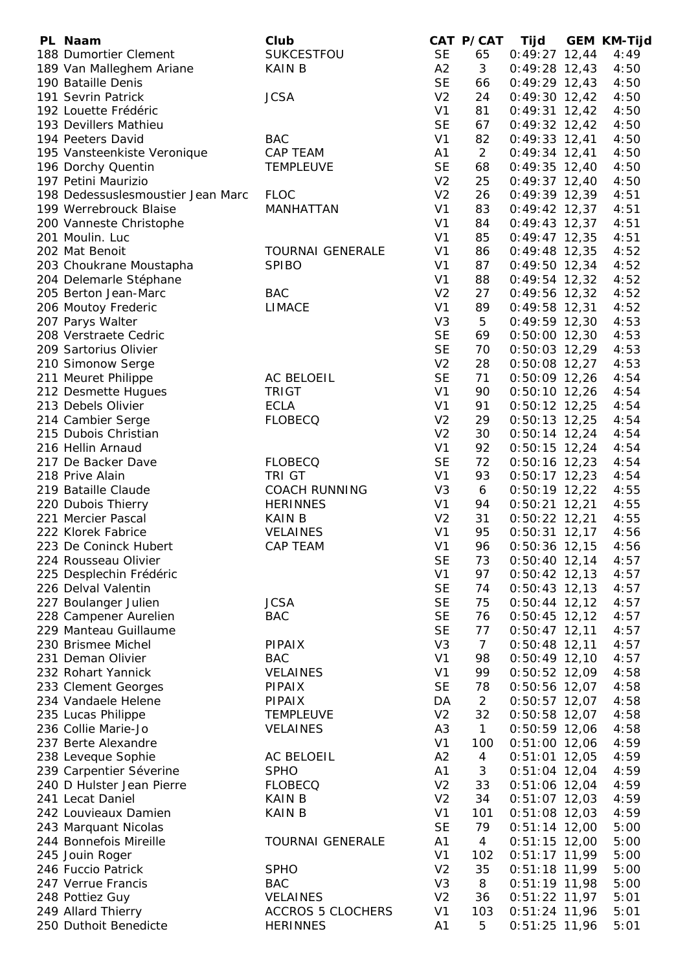| PL Naam                           | Club                     |                | CAT P/CAT      | Tijd            | <b>GEM KM-Tijd</b> |
|-----------------------------------|--------------------------|----------------|----------------|-----------------|--------------------|
| 188 Dumortier Clement             | SUKCESTFOU               | <b>SE</b>      | 65             | $0:49:27$ 12,44 | 4:49               |
| 189 Van Malleghem Ariane          | <b>KAIN B</b>            | A2             | 3              | $0:49:28$ 12,43 | 4:50               |
| 190 Bataille Denis                |                          | <b>SE</b>      | 66             | $0:49:29$ 12,43 | 4:50               |
| 191 Sevrin Patrick                | <b>JCSA</b>              | V <sub>2</sub> | 24             | $0:49:30$ 12,42 | 4:50               |
| 192 Louette Frédéric              |                          | V <sub>1</sub> | 81             | $0:49:31$ 12,42 | 4:50               |
| 193 Devillers Mathieu             |                          | <b>SE</b>      | 67             | $0:49:32$ 12,42 | 4:50               |
| 194 Peeters David                 | <b>BAC</b>               | V <sub>1</sub> | 82             | $0:49:33$ 12,41 | 4:50               |
| 195 Vansteenkiste Veronique       | CAP TEAM                 | A1             | $\overline{2}$ | $0:49:34$ 12,41 | 4:50               |
| 196 Dorchy Quentin                | <b>TEMPLEUVE</b>         | <b>SE</b>      | 68             | $0:49:35$ 12,40 | 4:50               |
| 197 Petini Maurizio               |                          | V <sub>2</sub> | 25             | $0:49:37$ 12,40 | 4:50               |
| 198 Dedessuslesmoustier Jean Marc | <b>FLOC</b>              | V <sub>2</sub> | 26             | $0:49:39$ 12,39 | 4:51               |
| 199 Werrebrouck Blaise            | MANHATTAN                | V <sub>1</sub> | 83             | $0:49:42$ 12,37 | 4:51               |
| 200 Vanneste Christophe           |                          | V <sub>1</sub> | 84             | $0:49:43$ 12,37 | 4:51               |
| 201 Moulin. Luc                   |                          | V <sub>1</sub> | 85             | $0:49:47$ 12,35 | 4:51               |
| 202 Mat Benoit                    | <b>TOURNAI GENERALE</b>  | V <sub>1</sub> | 86             | $0:49:48$ 12,35 | 4:52               |
| 203 Choukrane Moustapha           | <b>SPIBO</b>             | V <sub>1</sub> | 87             | $0:49:50$ 12,34 | 4:52               |
| 204 Delemarle Stéphane            |                          | V <sub>1</sub> | 88             | $0:49:54$ 12,32 | 4:52               |
| 205 Berton Jean-Marc              | <b>BAC</b>               | V <sub>2</sub> | 27             | $0:49:56$ 12,32 | 4:52               |
| 206 Moutoy Frederic               | <b>LIMACE</b>            | V <sub>1</sub> | 89             | $0:49:58$ 12,31 | 4:52               |
| 207 Parys Walter                  |                          | V <sub>3</sub> | 5              | $0:49:59$ 12,30 | 4:53               |
| 208 Verstraete Cedric             |                          | <b>SE</b>      | 69             | $0:50:00$ 12,30 | 4:53               |
| 209 Sartorius Olivier             |                          | <b>SE</b>      | 70             | $0:50:03$ 12,29 | 4:53               |
| 210 Simonow Serge                 |                          | V <sub>2</sub> | 28             | $0:50:08$ 12,27 | 4:53               |
| 211 Meuret Philippe               | AC BELOEIL               | <b>SE</b>      | 71             | $0:50:09$ 12,26 | 4:54               |
| 212 Desmette Hugues               | <b>TRIGT</b>             | V <sub>1</sub> | 90             | $0:50:10$ 12,26 | 4:54               |
| 213 Debels Olivier                | <b>ECLA</b>              | V <sub>1</sub> | 91             | $0:50:12$ 12,25 | 4:54               |
| 214 Cambier Serge                 | <b>FLOBECQ</b>           | V <sub>2</sub> | 29             | $0:50:13$ 12,25 | 4:54               |
| 215 Dubois Christian              |                          | V <sub>2</sub> | 30             | $0:50:14$ 12,24 | 4:54               |
| 216 Hellin Arnaud                 |                          | V <sub>1</sub> | 92             | $0:50:15$ 12,24 | 4:54               |
| 217 De Backer Dave                | <b>FLOBECQ</b>           | <b>SE</b>      | 72             | $0:50:16$ 12,23 | 4:54               |
| 218 Prive Alain                   | TRI GT                   | V <sub>1</sub> | 93             | $0:50:17$ 12,23 | 4:54               |
| 219 Bataille Claude               | <b>COACH RUNNING</b>     | V <sub>3</sub> | 6              | $0:50:19$ 12,22 | 4:55               |
| 220 Dubois Thierry                | <b>HERINNES</b>          | V <sub>1</sub> | 94             | $0:50:21$ 12,21 | 4:55               |
| 221 Mercier Pascal                | <b>KAIN B</b>            | V <sub>2</sub> | 31             | $0:50:22$ 12,21 | 4:55               |
| 222 Klorek Fabrice                | <b>VELAINES</b>          | V <sub>1</sub> | 95             | $0:50:31$ 12,17 | 4:56               |
| 223 De Coninck Hubert             | <b>CAP TEAM</b>          | V <sub>1</sub> | 96             | $0:50:36$ 12,15 | 4:56               |
| 224 Rousseau Olivier              |                          | <b>SE</b>      | 73             | $0:50:40$ 12,14 | 4:57               |
| 225 Desplechin Frédéric           |                          | V <sub>1</sub> | 97             | $0:50:42$ 12,13 | 4:57               |
| 226 Delval Valentin               |                          | <b>SE</b>      | 74             | $0:50:43$ 12,13 | 4:57               |
| 227 Boulanger Julien              | <b>JCSA</b>              | <b>SE</b>      | 75             | $0:50:44$ 12,12 | 4:57               |
| 228 Campener Aurelien             | <b>BAC</b>               | <b>SE</b>      | 76             | $0:50:45$ 12,12 | 4:57               |
| 229 Manteau Guillaume             |                          | <b>SE</b>      | 77             | $0:50:47$ 12,11 | 4:57               |
| 230 Brismee Michel                | PIPAIX                   | V <sub>3</sub> | $\overline{7}$ | $0:50:48$ 12,11 | 4:57               |
| 231 Deman Olivier                 | <b>BAC</b>               | V <sub>1</sub> | 98             | $0:50:49$ 12,10 | 4:57               |
| 232 Rohart Yannick                | <b>VELAINES</b>          | V <sub>1</sub> | 99             | $0:50:52$ 12,09 | 4:58               |
| 233 Clement Georges               | PIPAIX                   | <b>SE</b>      | 78             | 0:50:56 12,07   | 4:58               |
| 234 Vandaele Helene               | <b>PIPAIX</b>            | DA             | $\overline{2}$ | $0:50:57$ 12,07 | 4:58               |
| 235 Lucas Philippe                | <b>TEMPLEUVE</b>         | V <sub>2</sub> | 32             | $0:50:58$ 12,07 | 4:58               |
| 236 Collie Marie-Jo               | <b>VELAINES</b>          | A <sub>3</sub> | $\mathbf{1}$   | $0:50:59$ 12,06 | 4:58               |
| 237 Berte Alexandre               |                          | V <sub>1</sub> | 100            | $0:51:00$ 12,06 | 4:59               |
| 238 Leveque Sophie                | AC BELOEIL               | A2             | 4              | $0:51:01$ 12,05 | 4:59               |
| 239 Carpentier Séverine           | <b>SPHO</b>              | A1             | 3              | $0:51:04$ 12,04 | 4:59               |
| 240 D Hulster Jean Pierre         | <b>FLOBECQ</b>           | V <sub>2</sub> | 33             | $0:51:06$ 12,04 | 4:59               |
| 241 Lecat Daniel                  | <b>KAIN B</b>            | V <sub>2</sub> | 34             | $0:51:07$ 12,03 | 4:59               |
| 242 Louvieaux Damien              | <b>KAIN B</b>            | V <sub>1</sub> | 101            | $0:51:08$ 12,03 | 4:59               |
| 243 Marquant Nicolas              |                          | <b>SE</b>      | 79             | $0:51:14$ 12,00 | 5:00               |
| 244 Bonnefois Mireille            | <b>TOURNAI GENERALE</b>  | A1             | 4              | $0:51:15$ 12,00 | 5:00               |
| 245 Jouin Roger                   |                          | V <sub>1</sub> | 102            | $0:51:17$ 11,99 | 5:00               |
| 246 Fuccio Patrick                | <b>SPHO</b>              | V <sub>2</sub> | 35             | $0:51:18$ 11,99 | 5:00               |
| 247 Verrue Francis                | <b>BAC</b>               | V <sub>3</sub> | 8              | $0:51:19$ 11,98 | 5:00               |
| 248 Pottiez Guy                   | <b>VELAINES</b>          | V <sub>2</sub> | 36             | $0:51:22$ 11,97 | 5:01               |
| 249 Allard Thierry                | <b>ACCROS 5 CLOCHERS</b> | V <sub>1</sub> | 103            | $0:51:24$ 11,96 | 5:01               |
| 250 Duthoit Benedicte             | <b>HERINNES</b>          | A1             | 5              | $0:51:25$ 11,96 | 5:01               |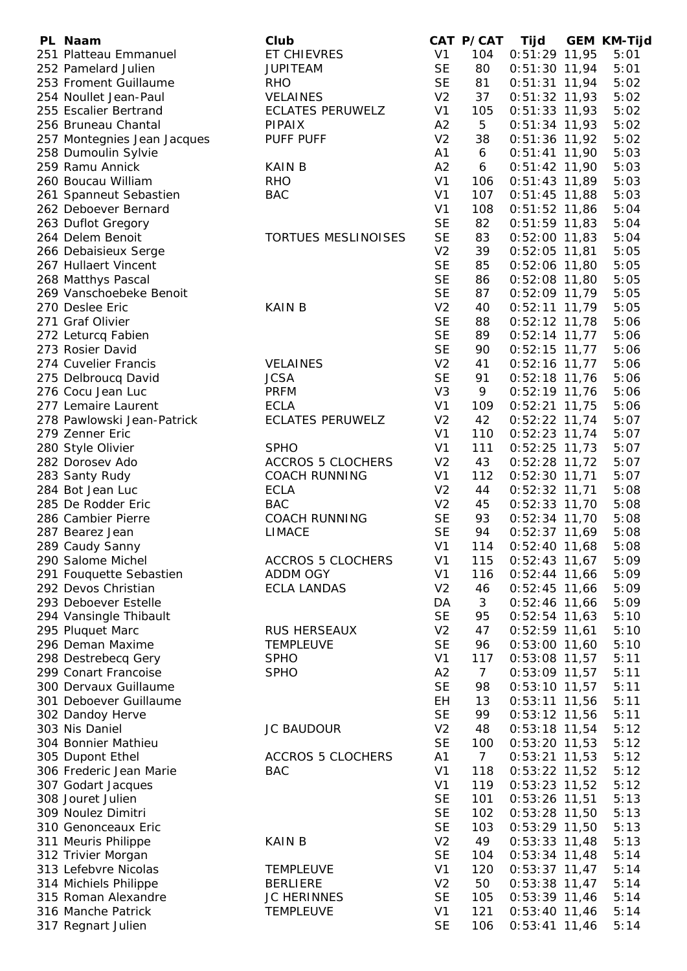| PL Naam                     | Club                       |                | CAT P/CAT       | Tijd            | <b>GEM KM-Tijd</b> |
|-----------------------------|----------------------------|----------------|-----------------|-----------------|--------------------|
| 251 Platteau Emmanuel       | ET CHIEVRES                | V <sub>1</sub> | 104             | $0:51:29$ 11,95 | 5:01               |
| 252 Pamelard Julien         | <b>JUPITEAM</b>            | <b>SE</b>      | 80              | $0:51:30$ 11,94 | 5:01               |
| 253 Froment Guillaume       | <b>RHO</b>                 | <b>SE</b>      | 81              | $0:51:31$ 11,94 | 5:02               |
| 254 Noullet Jean-Paul       | <b>VELAINES</b>            | V <sub>2</sub> | 37              | $0:51:32$ 11,93 | 5:02               |
| 255 Escalier Bertrand       | <b>ECLATES PERUWELZ</b>    | V <sub>1</sub> | 105             | $0:51:33$ 11,93 | 5:02               |
| 256 Bruneau Chantal         | <b>PIPAIX</b>              | A2             | 5               | $0:51:34$ 11,93 | 5:02               |
| 257 Montegnies Jean Jacques | PUFF PUFF                  | V <sub>2</sub> | 38              | $0:51:36$ 11,92 | 5:02               |
| 258 Dumoulin Sylvie         |                            | A1             | 6               | $0:51:41$ 11,90 | 5:03               |
| 259 Ramu Annick             | <b>KAIN B</b>              | A2             | 6               | $0:51:42$ 11,90 | 5:03               |
|                             |                            | V <sub>1</sub> |                 |                 |                    |
| 260 Boucau William          | <b>RHO</b>                 |                | 106             | $0:51:43$ 11,89 | 5:03               |
| 261 Spanneut Sebastien      | <b>BAC</b>                 | V <sub>1</sub> | 107             | $0:51:45$ 11,88 | 5:03               |
| 262 Deboever Bernard        |                            | V <sub>1</sub> | 108             | $0:51:52$ 11,86 | 5:04               |
| 263 Duflot Gregory          |                            | <b>SE</b>      | 82              | $0:51:59$ 11,83 | 5:04               |
| 264 Delem Benoit            | <b>TORTUES MESLINOISES</b> | <b>SE</b>      | 83              | $0:52:00$ 11,83 | 5:04               |
| 266 Debaisieux Serge        |                            | V <sub>2</sub> | 39              | $0:52:05$ 11,81 | 5:05               |
| 267 Hullaert Vincent        |                            | <b>SE</b>      | 85              | $0:52:06$ 11,80 | 5:05               |
| 268 Matthys Pascal          |                            | <b>SE</b>      | 86              | $0:52:08$ 11,80 | 5:05               |
| 269 Vanschoebeke Benoit     |                            | <b>SE</b>      | 87              | $0:52:09$ 11,79 | 5:05               |
| 270 Deslee Eric             | <b>KAIN B</b>              | V <sub>2</sub> | 40              | $0:52:11$ 11,79 | 5:05               |
| 271 Graf Olivier            |                            | <b>SE</b>      | 88              | $0:52:12$ 11,78 | 5:06               |
| 272 Leturcq Fabien          |                            | <b>SE</b>      | 89              | $0:52:14$ 11,77 | 5:06               |
| 273 Rosier David            |                            | <b>SE</b>      | 90              | $0:52:15$ 11,77 | 5:06               |
| 274 Cuvelier Francis        | <b>VELAINES</b>            | V <sub>2</sub> | 41              | $0:52:16$ 11,77 | 5:06               |
| 275 Delbroucq David         | <b>JCSA</b>                | <b>SE</b>      | 91              | $0:52:18$ 11,76 | 5:06               |
| 276 Cocu Jean Luc           | <b>PRFM</b>                | V <sub>3</sub> | 9               | $0:52:19$ 11,76 | 5:06               |
| 277 Lemaire Laurent         | <b>ECLA</b>                | V <sub>1</sub> | 109             | $0:52:21$ 11,75 | 5:06               |
| 278 Pawlowski Jean-Patrick  | <b>ECLATES PERUWELZ</b>    | V <sub>2</sub> | 42              | $0:52:22$ 11,74 | 5:07               |
| 279 Zenner Eric             |                            | V <sub>1</sub> | 110             | $0:52:23$ 11,74 | 5:07               |
| 280 Style Olivier           | <b>SPHO</b>                | V <sub>1</sub> | 111             | $0:52:25$ 11,73 | 5:07               |
| 282 Dorosev Ado             | <b>ACCROS 5 CLOCHERS</b>   | V <sub>2</sub> | 43              | $0:52:28$ 11,72 | 5:07               |
| 283 Santy Rudy              | <b>COACH RUNNING</b>       | V <sub>1</sub> | 112             | $0:52:30$ 11,71 | 5:07               |
| 284 Bot Jean Luc            |                            | V <sub>2</sub> | 44              |                 |                    |
|                             | <b>ECLA</b>                |                |                 | $0:52:32$ 11,71 | 5:08               |
| 285 De Rodder Eric          | <b>BAC</b>                 | V <sub>2</sub> | 45              | $0:52:33$ 11,70 | 5:08               |
| 286 Cambier Pierre          | <b>COACH RUNNING</b>       | <b>SE</b>      | 93              | $0:52:34$ 11,70 | 5:08               |
| 287 Bearez Jean             | <b>LIMACE</b>              | <b>SE</b>      | 94              | $0:52:37$ 11,69 | 5:08               |
| 289 Caudy Sanny             |                            | V <sub>1</sub> | 114             | $0:52:40$ 11,68 | 5:08               |
| 290 Salome Michel           | <b>ACCROS 5 CLOCHERS</b>   | V <sub>1</sub> | 115             | $0:52:43$ 11,67 | 5:09               |
| 291 Fouquette Sebastien     | ADDM OGY                   | V <sub>1</sub> | 116             | $0:52:44$ 11,66 | 5:09               |
| 292 Devos Christian         | <b>ECLA LANDAS</b>         | V <sub>2</sub> | 46              | $0:52:45$ 11,66 | 5:09               |
| 293 Deboever Estelle        |                            | DA             | 3               | $0:52:46$ 11,66 | 5:09               |
| 294 Vansingle Thibault      |                            | <b>SE</b>      | 95              | $0:52:54$ 11,63 | 5:10               |
| 295 Pluquet Marc            | <b>RUS HERSEAUX</b>        | V <sub>2</sub> | 47              | $0:52:59$ 11,61 | 5:10               |
| 296 Deman Maxime            | <b>TEMPLEUVE</b>           | <b>SE</b>      | 96              | $0:53:00$ 11,60 | 5:10               |
| 298 Destrebecq Gery         | <b>SPHO</b>                | V <sub>1</sub> | 117             | $0:53:08$ 11,57 | 5:11               |
| 299 Conart Francoise        | <b>SPHO</b>                | A2             | $\overline{7}$  | $0:53:09$ 11,57 | 5:11               |
| 300 Dervaux Guillaume       |                            | <b>SE</b>      | 98              | $0:53:10$ 11,57 | 5:11               |
| 301 Deboever Guillaume      |                            | EH             | 13              | $0:53:11$ 11,56 | 5:11               |
| 302 Dandoy Herve            |                            | <b>SE</b>      | 99              | $0:53:12$ 11,56 | 5:11               |
| 303 Nis Daniel              | <b>JC BAUDOUR</b>          | V <sub>2</sub> | 48              | $0:53:18$ 11,54 | 5:12               |
| 304 Bonnier Mathieu         |                            | <b>SE</b>      | 100             | $0:53:20$ 11,53 | 5:12               |
| 305 Dupont Ethel            | <b>ACCROS 5 CLOCHERS</b>   | A1             | $7\overline{ }$ | $0:53:21$ 11,53 | 5:12               |
| 306 Frederic Jean Marie     | <b>BAC</b>                 | V <sub>1</sub> | 118             | $0:53:22$ 11,52 | 5:12               |
| 307 Godart Jacques          |                            | V <sub>1</sub> | 119             | $0:53:23$ 11,52 | 5:12               |
| 308 Jouret Julien           |                            | <b>SE</b>      | 101             | $0:53:26$ 11,51 | 5:13               |
| 309 Noulez Dimitri          |                            | <b>SE</b>      | 102             | $0:53:28$ 11,50 | 5:13               |
|                             |                            | <b>SE</b>      | 103             |                 |                    |
| 310 Genonceaux Eric         |                            |                |                 | $0:53:29$ 11,50 | 5:13               |
| 311 Meuris Philippe         | <b>KAIN B</b>              | V <sub>2</sub> | 49              | $0:53:33$ 11,48 | 5:13               |
| 312 Trivier Morgan          |                            | <b>SE</b>      | 104             | $0:53:34$ 11,48 | 5:14               |
| 313 Lefebvre Nicolas        | <b>TEMPLEUVE</b>           | V <sub>1</sub> | 120             | $0:53:37$ 11,47 | 5:14               |
| 314 Michiels Philippe       | <b>BERLIERE</b>            | V <sub>2</sub> | 50              | $0:53:38$ 11,47 | 5:14               |
| 315 Roman Alexandre         | <b>JC HERINNES</b>         | <b>SE</b>      | 105             | $0:53:39$ 11,46 | 5:14               |
| 316 Manche Patrick          | <b>TEMPLEUVE</b>           | V <sub>1</sub> | 121             | $0:53:40$ 11,46 | 5:14               |
| 317 Regnart Julien          |                            | <b>SE</b>      | 106             | $0:53:41$ 11,46 | 5:14               |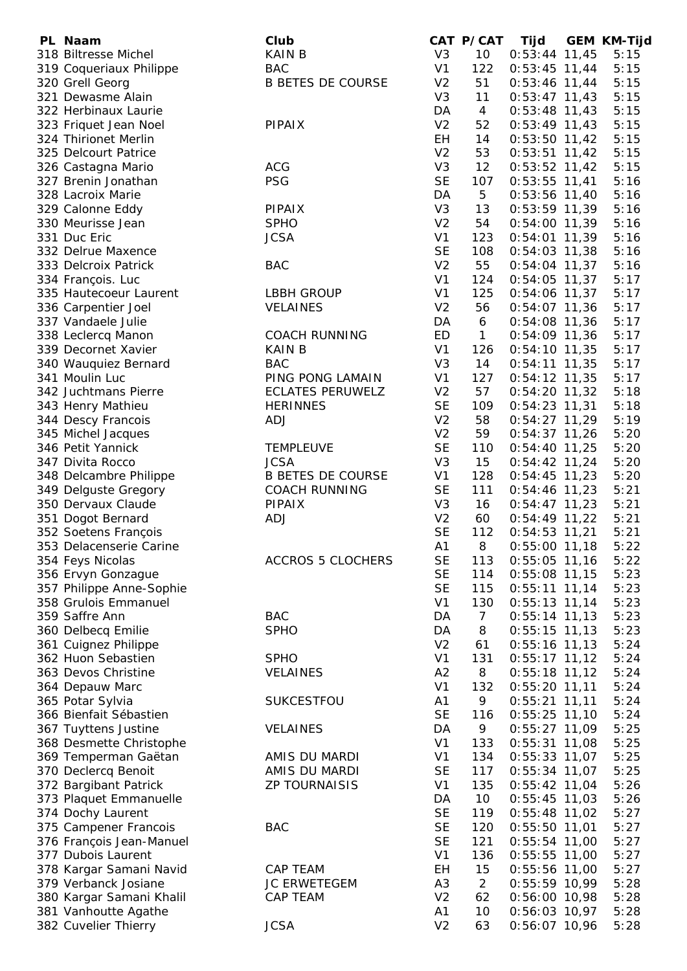| PL Naam                  | Club                     |                | CAT P/CAT      | Tijd            | <b>GEM KM-Tijd</b> |
|--------------------------|--------------------------|----------------|----------------|-----------------|--------------------|
| 318 Biltresse Michel     | <b>KAIN B</b>            | V <sub>3</sub> | 10             | $0:53:44$ 11,45 | 5:15               |
| 319 Coqueriaux Philippe  | <b>BAC</b>               | V <sub>1</sub> | 122            | $0:53:45$ 11,44 | 5:15               |
| 320 Grell Georg          | <b>B BETES DE COURSE</b> | V <sub>2</sub> | 51             | $0:53:46$ 11,44 | 5:15               |
| 321 Dewasme Alain        |                          | V <sub>3</sub> | 11             | $0:53:47$ 11,43 | 5:15               |
| 322 Herbinaux Laurie     |                          | DA             | $\overline{4}$ | $0:53:48$ 11,43 | 5:15               |
| 323 Friquet Jean Noel    | <b>PIPAIX</b>            | V <sub>2</sub> | 52             | $0:53:49$ 11,43 | 5:15               |
| 324 Thirionet Merlin     |                          | EH             | 14             | $0:53:50$ 11,42 | 5:15               |
| 325 Delcourt Patrice     |                          | V <sub>2</sub> | 53             | $0:53:51$ 11,42 | 5:15               |
| 326 Castagna Mario       | <b>ACG</b>               | V <sub>3</sub> | 12             | $0:53:52$ 11,42 | 5:15               |
| 327 Brenin Jonathan      | <b>PSG</b>               | <b>SE</b>      | 107            | $0:53:55$ 11,41 | 5:16               |
| 328 Lacroix Marie        |                          | DA             | 5              | $0:53:56$ 11,40 | 5:16               |
| 329 Calonne Eddy         | PIPAIX                   | V <sub>3</sub> | 13             | $0:53:59$ 11,39 | 5:16               |
| 330 Meurisse Jean        | <b>SPHO</b>              | V <sub>2</sub> | 54             | $0:54:00$ 11,39 | 5:16               |
| 331 Duc Eric             | <b>JCSA</b>              | V <sub>1</sub> | 123            | $0:54:01$ 11,39 | 5:16               |
| 332 Delrue Maxence       |                          | <b>SE</b>      | 108            | $0:54:03$ 11,38 | 5:16               |
| 333 Delcroix Patrick     | <b>BAC</b>               | V <sub>2</sub> | 55             | $0:54:04$ 11,37 | 5:16               |
| 334 François. Luc        |                          | V <sub>1</sub> | 124            | $0:54:05$ 11,37 | 5:17               |
| 335 Hautecoeur Laurent   | <b>LBBH GROUP</b>        | V <sub>1</sub> | 125            | $0:54:06$ 11,37 | 5:17               |
| 336 Carpentier Joel      | <b>VELAINES</b>          | V <sub>2</sub> | 56             | $0:54:07$ 11,36 | 5:17               |
| 337 Vandaele Julie       |                          | DA             | 6              | $0:54:08$ 11,36 | 5:17               |
| 338 Leclercq Manon       | <b>COACH RUNNING</b>     | ED             | $\mathbf{1}$   | $0:54:09$ 11,36 | 5:17               |
| 339 Decornet Xavier      | <b>KAIN B</b>            | V <sub>1</sub> | 126            | $0:54:10$ 11,35 | 5:17               |
| 340 Wauquiez Bernard     | <b>BAC</b>               | V <sub>3</sub> | 14             | $0:54:11$ 11,35 | 5:17               |
| 341 Moulin Luc           | PING PONG LAMAIN         | V <sub>1</sub> | 127            | $0:54:12$ 11,35 | 5:17               |
| 342 Juchtmans Pierre     | <b>ECLATES PERUWELZ</b>  | V <sub>2</sub> | 57             | $0:54:20$ 11,32 | 5:18               |
| 343 Henry Mathieu        | <b>HERINNES</b>          | <b>SE</b>      | 109            | $0:54:23$ 11,31 | 5:18               |
| 344 Descy Francois       | <b>ADJ</b>               | V <sub>2</sub> | 58             | $0:54:27$ 11,29 | 5:19               |
| 345 Michel Jacques       |                          | V <sub>2</sub> | 59             | $0:54:37$ 11,26 | 5:20               |
| 346 Petit Yannick        | <b>TEMPLEUVE</b>         | <b>SE</b>      | 110            | $0:54:40$ 11,25 | 5:20               |
| 347 Divita Rocco         | <b>JCSA</b>              | V <sub>3</sub> | 15             | $0:54:42$ 11,24 | 5:20               |
| 348 Delcambre Philippe   | <b>B BETES DE COURSE</b> | V <sub>1</sub> | 128            | $0:54:45$ 11,23 | 5:20               |
| 349 Delguste Gregory     | <b>COACH RUNNING</b>     | <b>SE</b>      | 111            | $0:54:46$ 11,23 | 5:21               |
| 350 Dervaux Claude       | <b>PIPAIX</b>            | V <sub>3</sub> | 16             | $0:54:47$ 11,23 | 5:21               |
| 351 Dogot Bernard        | <b>ADJ</b>               | V <sub>2</sub> | 60             | $0:54:49$ 11,22 | 5:21               |
| 352 Soetens François     |                          | <b>SE</b>      | 112            | $0:54:53$ 11,21 | 5:21               |
| 353 Delacenserie Carine  |                          | A <sub>1</sub> | 8              | $0:55:00$ 11,18 | 5:22               |
| 354 Feys Nicolas         | <b>ACCROS 5 CLOCHERS</b> | <b>SE</b>      | 113            | $0:55:05$ 11,16 | 5:22               |
| 356 Ervyn Gonzague       |                          | <b>SE</b>      | 114            | $0:55:08$ 11,15 | 5:23               |
| 357 Philippe Anne-Sophie |                          | <b>SE</b>      | 115            | $0:55:11$ 11,14 | 5:23               |
| 358 Grulois Emmanuel     |                          | V <sub>1</sub> | 130            | $0:55:13$ 11,14 | 5:23               |
| 359 Saffre Ann           | <b>BAC</b>               | DA             | $\overline{7}$ | $0:55:14$ 11,13 | 5:23               |
| 360 Delbecq Emilie       | <b>SPHO</b>              | DA             | 8              | $0:55:15$ 11,13 | 5:23               |
| 361 Cuignez Philippe     |                          | V <sub>2</sub> | 61             | $0:55:16$ 11,13 | 5:24               |
| 362 Huon Sebastien       | <b>SPHO</b>              | V <sub>1</sub> | 131            | $0:55:17$ 11,12 | 5:24               |
| 363 Devos Christine      | <b>VELAINES</b>          | A2             | 8              | $0:55:18$ 11,12 | 5:24               |
| 364 Depauw Marc          |                          | V <sub>1</sub> | 132            | $0:55:20$ 11,11 | 5:24               |
| 365 Potar Sylvia         | SUKCESTFOU               | A1             | 9              | $0:55:21$ 11,11 | 5:24               |
| 366 Bienfait Sébastien   |                          | <b>SE</b>      | 116            | $0:55:25$ 11,10 | 5:24               |
| 367 Tuyttens Justine     | <b>VELAINES</b>          | DA             | 9              | $0:55:27$ 11,09 | 5:25               |
| 368 Desmette Christophe  |                          | V <sub>1</sub> | 133            | $0:55:31$ 11,08 | 5:25               |
| 369 Temperman Gaëtan     | AMIS DU MARDI            | V <sub>1</sub> | 134            | $0:55:33$ 11,07 | 5:25               |
| 370 Declercq Benoit      | AMIS DU MARDI            | <b>SE</b>      | 117            | $0:55:34$ 11,07 | 5:25               |
| 372 Bargibant Patrick    | <b>ZP TOURNAISIS</b>     | V <sub>1</sub> | 135            | $0:55:42$ 11,04 | 5:26               |
| 373 Plaquet Emmanuelle   |                          | DA             | 10             | $0:55:45$ 11,03 | 5:26               |
| 374 Dochy Laurent        |                          | <b>SE</b>      | 119            | $0:55:48$ 11,02 | 5:27               |
| 375 Campener Francois    | <b>BAC</b>               | <b>SE</b>      | 120            | $0:55:50$ 11,01 | 5:27               |
| 376 François Jean-Manuel |                          | <b>SE</b>      | 121            | $0:55:54$ 11,00 | 5:27               |
| 377 Dubois Laurent       |                          | V <sub>1</sub> | 136            | $0:55:55$ 11,00 | 5:27               |
| 378 Kargar Samani Navid  | <b>CAP TEAM</b>          | EH             | 15             | $0:55:56$ 11,00 | 5:27               |
| 379 Verbanck Josiane     | <b>JC ERWETEGEM</b>      | A <sub>3</sub> | 2              | $0:55:59$ 10,99 | 5:28               |
| 380 Kargar Samani Khalil | CAP TEAM                 | V <sub>2</sub> | 62             | $0:56:00$ 10,98 | 5:28               |
| 381 Vanhoutte Agathe     |                          | A1             | 10             | $0:56:03$ 10,97 | 5:28               |
| 382 Cuvelier Thierry     | <b>JCSA</b>              | V <sub>2</sub> | 63             | 0:56:07 10,96   | 5:28               |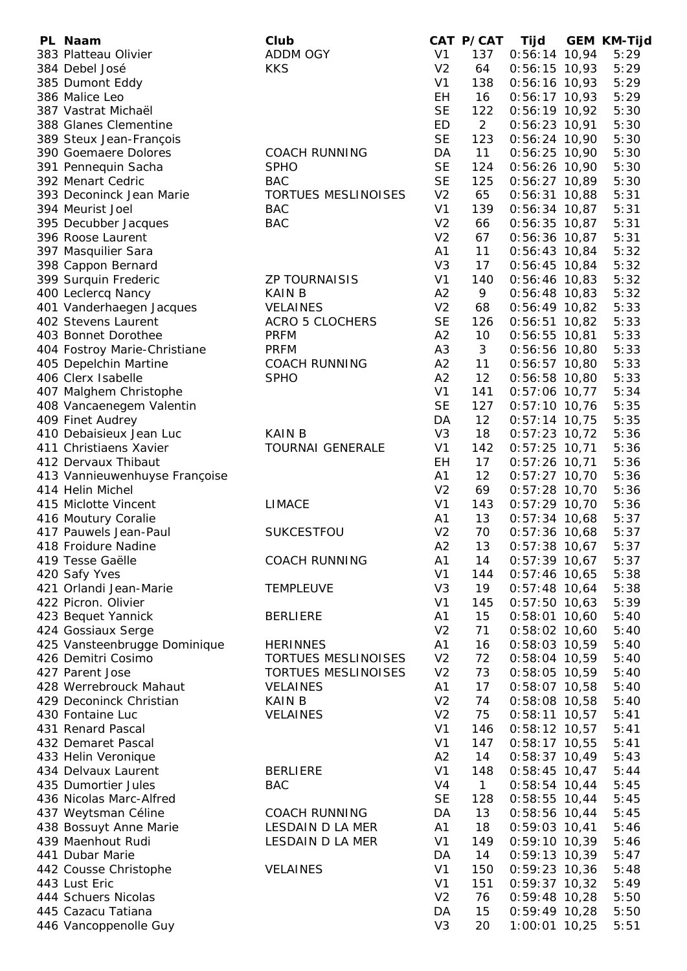| PL Naam                                        | Club                       |                             | CAT P/CAT       | <b>Tijd</b>                        | <b>GEM KM-Tijd</b> |
|------------------------------------------------|----------------------------|-----------------------------|-----------------|------------------------------------|--------------------|
| 383 Platteau Olivier                           | <b>ADDM OGY</b>            | V <sub>1</sub>              | 137             | $0:56:14$ 10,94                    | 5:29               |
| 384 Debel José                                 | <b>KKS</b>                 | V <sub>2</sub>              | 64              | $0:56:15$ 10,93                    | 5:29               |
| 385 Dumont Eddy                                |                            | V <sub>1</sub>              | 138             | $0:56:16$ 10,93                    | 5:29               |
| 386 Malice Leo                                 |                            | EH                          | 16              | $0:56:17$ 10,93                    | 5:29               |
| 387 Vastrat Michaël                            |                            | <b>SE</b>                   | 122             | $0:56:19$ 10,92                    | 5:30               |
| 388 Glanes Clementine                          |                            | <b>ED</b>                   | $\overline{2}$  | $0:56:23$ 10,91                    | 5:30               |
| 389 Steux Jean-François                        |                            | <b>SE</b>                   | 123             | $0:56:24$ 10,90                    | 5:30               |
| 390 Goemaere Dolores                           | <b>COACH RUNNING</b>       | DA<br><b>SE</b>             | 11              | $0:56:25$ 10,90                    | 5:30               |
| 391 Pennequin Sacha<br>392 Menart Cedric       | <b>SPHO</b><br><b>BAC</b>  | <b>SE</b>                   | 124<br>125      | $0:56:26$ 10,90                    | 5:30               |
| 393 Deconinck Jean Marie                       | <b>TORTUES MESLINOISES</b> | V <sub>2</sub>              | 65              | $0:56:27$ 10,89<br>$0:56:31$ 10,88 | 5:30<br>5:31       |
| 394 Meurist Joel                               | <b>BAC</b>                 | V <sub>1</sub>              | 139             | $0:56:34$ 10,87                    | 5:31               |
| 395 Decubber Jacques                           | <b>BAC</b>                 | V <sub>2</sub>              | 66              | $0:56:35$ 10,87                    | 5:31               |
| 396 Roose Laurent                              |                            | V <sub>2</sub>              | 67              | $0:56:36$ 10,87                    | 5:31               |
| 397 Masquilier Sara                            |                            | A1                          | 11              | $0:56:43$ 10,84                    | 5:32               |
| 398 Cappon Bernard                             |                            | V <sub>3</sub>              | 17              | $0:56:45$ 10,84                    | 5:32               |
| 399 Surquin Frederic                           | <b>ZP TOURNAISIS</b>       | V <sub>1</sub>              | 140             | $0:56:46$ 10,83                    | 5:32               |
| 400 Leclercq Nancy                             | <b>KAIN B</b>              | A2                          | 9               | $0:56:48$ 10,83                    | 5:32               |
| 401 Vanderhaegen Jacques                       | <b>VELAINES</b>            | V <sub>2</sub>              | 68              | $0:56:49$ 10,82                    | 5:33               |
| 402 Stevens Laurent                            | <b>ACRO 5 CLOCHERS</b>     | <b>SE</b>                   | 126             | $0:56:51$ 10,82                    | 5:33               |
| 403 Bonnet Dorothee                            | <b>PRFM</b>                | A2                          | 10              | $0:56:55$ 10,81                    | 5:33               |
| 404 Fostroy Marie-Christiane                   | <b>PRFM</b>                | A <sub>3</sub>              | 3               | $0:56:56$ 10,80                    | 5:33               |
| 405 Depelchin Martine                          | <b>COACH RUNNING</b>       | A2                          | 11              | $0:56:57$ 10,80                    | 5:33               |
| 406 Clerx Isabelle                             | <b>SPHO</b>                | A2                          | 12              | $0:56:58$ 10,80                    | 5:33               |
| 407 Malghem Christophe                         |                            | V <sub>1</sub>              | 141             | $0:57:06$ 10,77                    | 5:34               |
| 408 Vancaenegem Valentin                       |                            | <b>SE</b>                   | 127             | $0:57:10$ 10,76                    | 5:35               |
| 409 Finet Audrey                               |                            | DA                          | 12 <sub>2</sub> | $0:57:14$ 10,75                    | 5:35               |
| 410 Debaisieux Jean Luc                        | <b>KAIN B</b>              | V <sub>3</sub>              | 18              | $0:57:23$ 10,72                    | 5:36               |
| 411 Christiaens Xavier                         | <b>TOURNAI GENERALE</b>    | V <sub>1</sub>              | 142             | $0:57:25$ 10,71                    | 5:36               |
| 412 Dervaux Thibaut                            |                            | EH                          | 17              | $0:57:26$ 10,71                    | 5:36               |
| 413 Vannieuwenhuyse Françoise                  |                            | A1                          | 12              | $0:57:27$ 10,70                    | 5:36               |
| 414 Helin Michel                               |                            | V <sub>2</sub>              | 69              | $0:57:28$ 10,70                    | 5:36               |
| 415 Miclotte Vincent<br>416 Moutury Coralie    | <b>LIMACE</b>              | V <sub>1</sub><br>A1        | 143<br>13       | $0:57:29$ 10,70<br>$0:57:34$ 10,68 | 5:36<br>5:37       |
| 417 Pauwels Jean-Paul                          | SUKCESTFOU                 | V <sub>2</sub>              | 70              | $0:57:36$ 10,68                    | 5:37               |
| 418 Froidure Nadine                            |                            | A2                          | 13              | $0:57:38$ 10,67                    | 5:37               |
| 419 Tesse Gaëlle                               | <b>COACH RUNNING</b>       | A1                          | 14              | $0:57:39$ 10,67                    | 5:37               |
| 420 Safy Yves                                  |                            | V <sub>1</sub>              | 144             | $0:57:46$ 10,65                    | 5:38               |
| 421 Orlandi Jean-Marie                         | <b>TEMPLEUVE</b>           | V <sub>3</sub>              | 19              | $0:57:48$ 10,64                    | 5:38               |
| 422 Picron. Olivier                            |                            | V <sub>1</sub>              | 145             | $0:57:50$ 10,63                    | 5:39               |
| 423 Bequet Yannick                             | <b>BERLIERE</b>            | A1                          | 15              | $0:58:01$ 10,60                    | 5:40               |
| 424 Gossiaux Serge                             |                            | V <sub>2</sub>              | 71              | $0:58:02$ 10,60                    | 5:40               |
| 425 Vansteenbrugge Dominique                   | <b>HERINNES</b>            | A1                          | 16              | $0:58:03$ 10,59                    | 5:40               |
| 426 Demitri Cosimo                             | <b>TORTUES MESLINOISES</b> | V <sub>2</sub>              | 72              | $0:58:04$ 10,59                    | 5:40               |
| 427 Parent Jose                                | <b>TORTUES MESLINOISES</b> | V <sub>2</sub>              | 73              | $0:58:05$ 10,59                    | 5:40               |
| 428 Werrebrouck Mahaut                         | <b>VELAINES</b>            | A1                          | 17              | $0:58:07$ 10,58                    | 5:40               |
| 429 Deconinck Christian                        | <b>KAIN B</b>              | V <sub>2</sub>              | 74              | $0:58:08$ 10,58                    | 5:40               |
| 430 Fontaine Luc                               | <b>VELAINES</b>            | V <sub>2</sub>              | 75              | $0:58:11$ 10,57                    | 5:41               |
| 431 Renard Pascal                              |                            | V <sub>1</sub>              | 146             | $0:58:12$ 10,57                    | 5:41               |
| 432 Demaret Pascal                             |                            | V <sub>1</sub>              | 147             | $0:58:17$ 10,55                    | 5:41               |
| 433 Helin Veronique                            |                            | A <sub>2</sub>              | 14              | $0:58:37$ 10,49                    | 5:43               |
| 434 Delvaux Laurent                            | <b>BERLIERE</b>            | V <sub>1</sub>              | 148             | $0:58:45$ 10,47                    | 5:44               |
| 435 Dumortier Jules<br>436 Nicolas Marc-Alfred | <b>BAC</b>                 | V <sub>4</sub><br><b>SE</b> | $\mathbf{1}$    | $0:58:54$ 10,44                    | 5:45               |
| 437 Weytsman Céline                            | <b>COACH RUNNING</b>       | DA                          | 128<br>13       | $0:58:55$ 10,44<br>$0:58:56$ 10,44 | 5:45<br>5:45       |
| 438 Bossuyt Anne Marie                         | LESDAIN D LA MER           | A <sub>1</sub>              | 18              | $0:59:03$ 10,41                    | 5:46               |
| 439 Maenhout Rudi                              | LESDAIN D LA MER           | V <sub>1</sub>              | 149             | $0:59:10$ 10,39                    | 5:46               |
| 441 Dubar Marie                                |                            | DA                          | 14              | $0:59:13$ 10,39                    | 5:47               |
| 442 Cousse Christophe                          | <b>VELAINES</b>            | V <sub>1</sub>              | 150             | $0:59:23$ 10,36                    | 5:48               |
| 443 Lust Eric                                  |                            | V <sub>1</sub>              | 151             | $0:59:37$ 10,32                    | 5:49               |
| 444 Schuers Nicolas                            |                            | V <sub>2</sub>              | 76              | $0:59:48$ 10,28                    | 5:50               |
| 445 Cazacu Tatiana                             |                            | DA                          | 15              | $0:59:49$ 10,28                    | 5:50               |
| 446 Vancoppenolle Guy                          |                            | V <sub>3</sub>              | 20              | $1:00:01$ 10,25                    | 5:51               |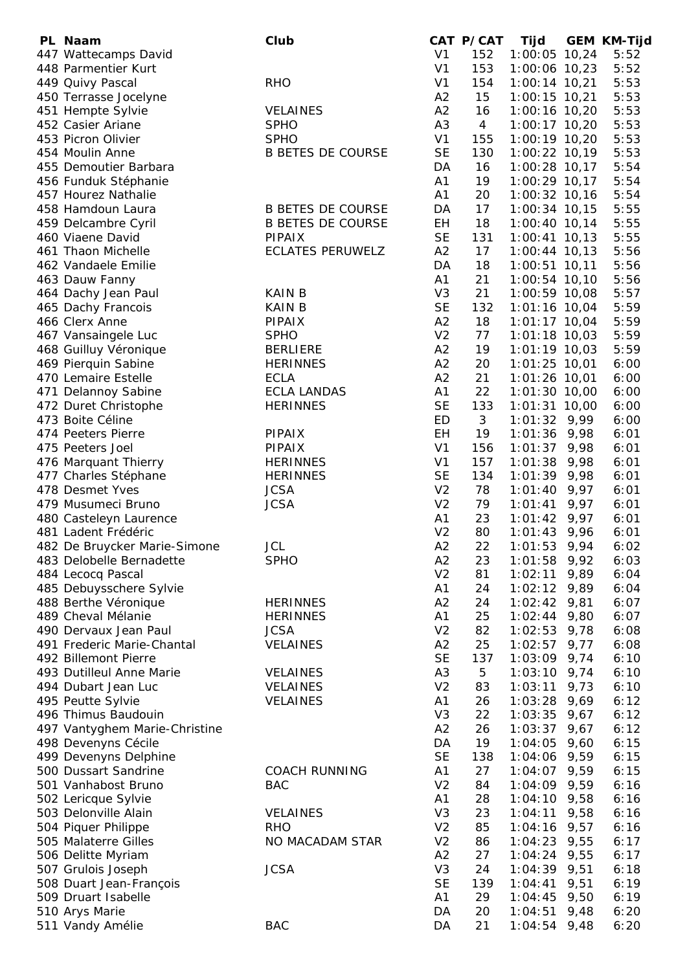| PL Naam                                       | Club                     |                                  | CAT P/CAT | Tijd                      |      | <b>GEM KM-Tijd</b> |
|-----------------------------------------------|--------------------------|----------------------------------|-----------|---------------------------|------|--------------------|
| 447 Wattecamps David                          |                          | V <sub>1</sub>                   | 152       | 1:00:05 10,24             |      | 5:52               |
| 448 Parmentier Kurt                           |                          | V <sub>1</sub>                   | 153       | $1:00:06$ 10,23           |      | 5:52               |
| 449 Quivy Pascal                              | <b>RHO</b>               | V <sub>1</sub>                   | 154       | $1:00:14$ 10,21           |      | 5:53               |
| 450 Terrasse Jocelyne                         |                          | A2                               | 15        | $1:00:15$ 10,21           |      | 5:53               |
| 451 Hempte Sylvie                             | <b>VELAINES</b>          | A2                               | 16        | 1:00:16 10,20             |      | 5:53               |
| 452 Casier Ariane                             | <b>SPHO</b>              | A <sub>3</sub>                   | 4         | $1:00:17$ 10,20           |      | 5:53               |
| 453 Picron Olivier                            | <b>SPHO</b>              | V <sub>1</sub>                   | 155       | 1:00:19 10,20             |      | 5:53               |
| 454 Moulin Anne                               | <b>B BETES DE COURSE</b> | <b>SE</b>                        | 130       | $1:00:22$ 10,19           |      | 5:53               |
| 455 Demoutier Barbara                         |                          | DA                               | 16        | $1:00:28$ 10,17           |      | 5:54               |
| 456 Funduk Stéphanie                          |                          | A1                               | 19        | $1:00:29$ 10,17           |      | 5:54               |
| 457 Hourez Nathalie                           |                          | A1                               | 20        | 1:00:32 10,16             |      | 5:54               |
| 458 Hamdoun Laura                             | <b>B BETES DE COURSE</b> | DA                               | 17        | $1:00:34$ 10,15           |      | 5:55               |
| 459 Delcambre Cyril                           | <b>B BETES DE COURSE</b> | EH                               | 18        | $1:00:40$ 10,14           |      | 5:55               |
| 460 Viaene David                              | PIPAIX                   | <b>SE</b>                        | 131       | $1:00:41$ 10,13           |      | 5:55               |
| 461 Thaon Michelle                            | <b>ECLATES PERUWELZ</b>  | A2                               | 17        | $1:00:44$ 10,13           |      | 5:56               |
| 462 Vandaele Emilie                           |                          | DA                               | 18        | $1:00:51$ 10,11           |      | 5:56               |
| 463 Dauw Fanny                                |                          | A1                               | 21        | 1:00:54 10,10             |      | 5:56               |
| 464 Dachy Jean Paul                           | <b>KAIN B</b>            | V <sub>3</sub>                   | 21        | 1:00:59 10,08             |      | 5:57               |
| 465 Dachy Francois                            | <b>KAIN B</b>            | <b>SE</b>                        | 132       | 1:01:16 10,04             |      | 5:59               |
| 466 Clerx Anne                                | PIPAIX                   | A2                               | 18        | $1:01:17$ 10,04           |      | 5:59               |
| 467 Vansaingele Luc                           | <b>SPHO</b>              | V <sub>2</sub>                   | 77        | $1:01:18$ 10,03           |      | 5:59               |
| 468 Guilluy Véronique                         | <b>BERLIERE</b>          | A2                               | 19        | $1:01:19$ 10,03           |      | 5:59               |
| 469 Pierquin Sabine                           | <b>HERINNES</b>          | A2                               | 20        | $1:01:25$ 10,01           |      | 6:00               |
| 470 Lemaire Estelle                           | <b>ECLA</b>              | A2                               | 21        | 1:01:26 10,01             |      | 6:00               |
| 471 Delannoy Sabine                           | <b>ECLA LANDAS</b>       | A1                               | 22        | $1:01:30$ 10,00           |      | 6:00               |
| 472 Duret Christophe                          | <b>HERINNES</b>          | <b>SE</b>                        | 133       | $1:01:31$ 10,00           |      | 6:00               |
| 473 Boite Céline                              |                          | ED                               | 3         | $1:01:32$ 9,99            |      | 6:00               |
| 474 Peeters Pierre                            | <b>PIPAIX</b>            | EH                               | 19        | $1:01:36$ 9,98            |      | 6:01               |
| 475 Peeters Joel                              | <b>PIPAIX</b>            | V <sub>1</sub>                   | 156       | 1:01:37                   | 9,98 | 6:01               |
| 476 Marquant Thierry                          | <b>HERINNES</b>          | V <sub>1</sub>                   | 157       | 1:01:38                   | 9,98 | 6:01               |
| 477 Charles Stéphane<br>478 Desmet Yves       | <b>HERINNES</b>          | <b>SE</b>                        | 134       | $1:01:39$ 9,98            |      | 6:01               |
|                                               | <b>JCSA</b>              | V <sub>2</sub><br>V <sub>2</sub> | 78        | 1:01:40                   | 9,97 | 6:01               |
| 479 Musumeci Bruno                            | <b>JCSA</b>              | A1                               | 79<br>23  | 1:01:41<br>1:01:42        | 9,97 | 6:01               |
| 480 Casteleyn Laurence<br>481 Ladent Frédéric |                          | V <sub>2</sub>                   | 80        |                           | 9,97 | 6:01               |
| 482 De Bruycker Marie-Simone                  | JCL                      | A2                               | 22        | 1:01:43<br>$1:01:53$ 9,94 | 9,96 | 6:01<br>6:02       |
| 483 Delobelle Bernadette                      | <b>SPHO</b>              |                                  | 23        |                           |      |                    |
| 484 Lecocq Pascal                             |                          | A2<br>V <sub>2</sub>             | 81        | $1:01:58$ 9,92<br>1:02:11 | 9,89 | 6:03<br>6:04       |
| 485 Debuysschere Sylvie                       |                          | A1                               | 24        | 1:02:12                   | 9,89 | 6:04               |
| 488 Berthe Véronique                          | <b>HERINNES</b>          | A2                               | 24        | $1:02:42$ 9,81            |      | 6:07               |
| 489 Cheval Mélanie                            | <b>HERINNES</b>          | A1                               | 25        | 1:02:44                   | 9,80 | 6:07               |
| 490 Dervaux Jean Paul                         | <b>JCSA</b>              | V <sub>2</sub>                   | 82        | 1:02:53                   | 9,78 | 6:08               |
| 491 Frederic Marie-Chantal                    | <b>VELAINES</b>          | A2                               | 25        | 1:02:57                   | 9,77 | 6:08               |
| 492 Billemont Pierre                          |                          | <b>SE</b>                        | 137       | $1:03:09$ 9,74            |      | 6:10               |
| 493 Dutilleul Anne Marie                      | <b>VELAINES</b>          | A <sub>3</sub>                   | 5         | $1:03:10$ 9,74            |      | 6:10               |
| 494 Dubart Jean Luc                           | <b>VELAINES</b>          | V <sub>2</sub>                   | 83        | 1:03:11                   | 9,73 | 6:10               |
| 495 Peutte Sylvie                             | <b>VELAINES</b>          | A1                               | 26        | 1:03:28                   | 9,69 | 6:12               |
| 496 Thimus Baudouin                           |                          | V <sub>3</sub>                   | 22        | $1:03:35$ 9,67            |      | 6:12               |
| 497 Vantyghem Marie-Christine                 |                          | A2                               | 26        | 1:03:37                   | 9,67 | 6:12               |
| 498 Devenyns Cécile                           |                          | DA                               | 19        | $1:04:05$ 9,60            |      | 6:15               |
| 499 Devenyns Delphine                         |                          | <b>SE</b>                        | 138       | $1:04:06$ 9,59            |      | 6:15               |
| 500 Dussart Sandrine                          | <b>COACH RUNNING</b>     | A1                               | 27        | 1:04:07 9,59              |      | 6:15               |
| 501 Vanhabost Bruno                           | <b>BAC</b>               | V <sub>2</sub>                   | 84        | $1:04:09$ 9,59            |      | 6:16               |
| 502 Lericque Sylvie                           |                          | A1                               | 28        | $1:04:10$ 9,58            |      | 6:16               |
| 503 Delonville Alain                          | <b>VELAINES</b>          | V <sub>3</sub>                   | 23        | 1:04:11                   | 9,58 | 6:16               |
| 504 Piquer Philippe                           | <b>RHO</b>               | V <sub>2</sub>                   | 85        | $1:04:16$ 9,57            |      | 6:16               |
| 505 Malaterre Gilles                          | NO MACADAM STAR          | V <sub>2</sub>                   | 86        | $1:04:23$ 9,55            |      | 6:17               |
| 506 Delitte Myriam                            |                          | A2                               | 27        | $1:04:24$ 9,55            |      | 6:17               |
| 507 Grulois Joseph                            | <b>JCSA</b>              | V <sub>3</sub>                   | 24        | $1:04:39$ 9,51            |      | 6:18               |
| 508 Duart Jean-François                       |                          | <b>SE</b>                        | 139       | 1:04:41                   | 9,51 | 6:19               |
| 509 Druart Isabelle                           |                          | A1                               | 29        | 1:04:45                   | 9,50 | 6:19               |
| 510 Arys Marie                                |                          | DA                               | 20        | 1:04:51                   | 9,48 | 6:20               |
| 511 Vandy Amélie                              | <b>BAC</b>               | DA                               | 21        | $1:04:54$ 9,48            |      | 6:20               |